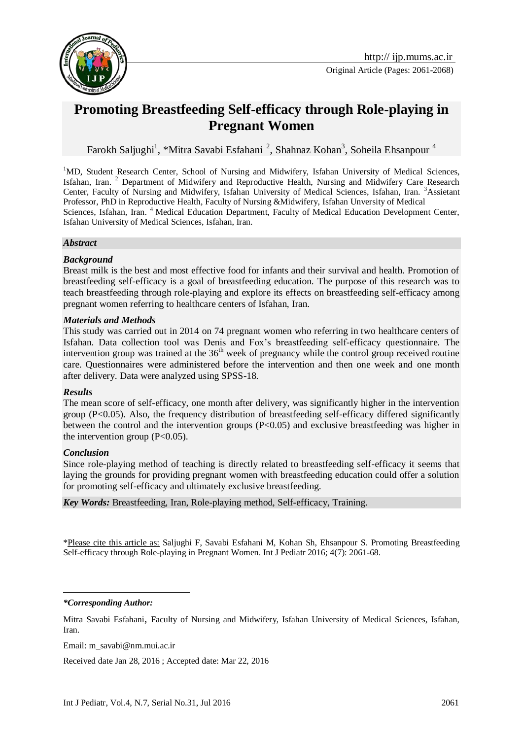

# **Promoting Breastfeeding Self-efficacy through Role-playing in Pregnant Women**

Farokh Saljughi<sup>1</sup>, \*Mitra Savabi Esfahani<sup>2</sup>, Shahnaz Kohan<sup>3</sup>, Soheila Ehsanpour<sup>4</sup>

<sup>1</sup>MD, Student Research Center, School of Nursing and Midwifery, Isfahan University of Medical Sciences, Isfahan, Iran. <sup>2</sup> Department of Midwifery and Reproductive Health, Nursing and Midwifery Care Research Center, Faculty of Nursing and Midwifery, Isfahan University of Medical Sciences, Isfahan, Iran. <sup>3</sup>Assietant Professor, PhD in Reproductive Health, Faculty of Nursing &Midwifery, Isfahan Unversity of Medical Sciences, Isfahan, Iran. <sup>4</sup> Medical Education Department, Faculty of Medical Education Development Center, Isfahan University of Medical Sciences, Isfahan, Iran.

#### *Abstract*

#### *Background*

Breast milk is the best and most effective food for infants and their survival and health. Promotion of breastfeeding self-efficacy is a goal of breastfeeding education. The purpose of this research was to teach breastfeeding through role-playing and explore its effects on breastfeeding self-efficacy among pregnant women referring to healthcare centers of Isfahan, Iran.

#### *Materials and Methods*

This study was carried out in 2014 on 74 pregnant women who referring in two healthcare centers of Isfahan. Data collection tool was Denis and Fox's breastfeeding self-efficacy questionnaire. The intervention group was trained at the  $36<sup>th</sup>$  week of pregnancy while the control group received routine care. Questionnaires were administered before the intervention and then one week and one month after delivery. Data were analyzed using SPSS-18.

#### *Results*

The mean score of self-efficacy, one month after delivery, was significantly higher in the intervention group (P<0.05). Also, the frequency distribution of breastfeeding self-efficacy differed significantly between the control and the intervention groups (P<0.05) and exclusive breastfeeding was higher in the intervention group  $(P<0.05)$ .

### *Conclusion*

Since role-playing method of teaching is directly related to breastfeeding self-efficacy it seems that laying the grounds for providing pregnant women with breastfeeding education could offer a solution for promoting self-efficacy and ultimately exclusive breastfeeding.

*Key Words:* Breastfeeding, Iran, Role-playing method, Self-efficacy, Training.

\*Please cite this article as: Saljughi F, Savabi Esfahani M, Kohan Sh, Ehsanpour S. Promoting Breastfeeding Self-efficacy through Role-playing in Pregnant Women. Int J Pediatr 2016; 4(7): 2061-68.

*\*Corresponding Author:*

1

Received date Jan 28, 2016 ; Accepted date: Mar 22, 2016

Mitra Savabi Esfahani, Faculty of Nursing and Midwifery, Isfahan University of Medical Sciences, Isfahan, Iran.

Email: m\_savabi@nm.mui.ac.ir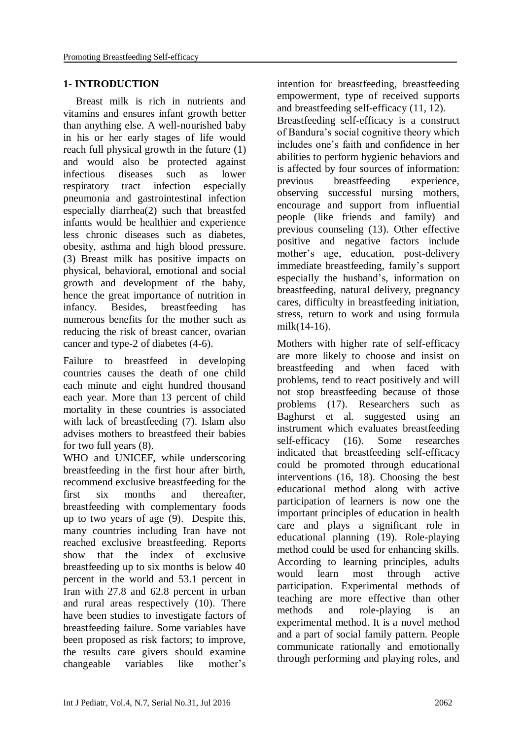### **1- INTRODUCTION**

Breast milk is rich in nutrients and vitamins and ensures infant growth better than anything else. A well-nourished baby in his or her early stages of life would reach full physical growth in the future (1) and would also be protected against infectious diseases such as lower respiratory tract infection especially pneumonia and gastrointestinal infection especially diarrhea(2) such that breastfed infants would be healthier and experience less chronic diseases such as diabetes, obesity, asthma and high blood pressure. (3) Breast milk has positive impacts on physical, behavioral, emotional and social growth and development of the baby, hence the great importance of nutrition in infancy. Besides, breastfeeding has numerous benefits for the mother such as reducing the risk of breast cancer, ovarian cancer and type-2 of diabetes (4-6).

Failure to breastfeed in developing countries causes the death of one child each minute and eight hundred thousand each year. More than 13 percent of child mortality in these countries is associated with lack of breastfeeding (7). Islam also advises mothers to breastfeed their babies for two full years (8).

WHO and UNICEF, while underscoring breastfeeding in the first hour after birth, recommend exclusive breastfeeding for the first six months and thereafter, breastfeeding with complementary foods up to two years of age (9). Despite this, many countries including Iran have not reached exclusive breastfeeding. Reports show that the index of exclusive breastfeeding up to six months is below 40 percent in the world and 53.1 percent in Iran with 27.8 and 62.8 percent in urban and rural areas respectively (10). There have been studies to investigate factors of breastfeeding failure. Some variables have been proposed as risk factors; to improve, the results care givers should examine changeable variables like mother's

intention for breastfeeding, breastfeeding empowerment, type of received supports and breastfeeding self-efficacy (11, 12). Breastfeeding self-efficacy is a construct of Bandura's social cognitive theory which includes one's faith and confidence in her abilities to perform hygienic behaviors and is affected by four sources of information: previous breastfeeding experience, observing successful nursing mothers, encourage and support from influential people (like friends and family) and previous counseling (13). Other effective positive and negative factors include mother's age, education, post-delivery immediate breastfeeding, family's support especially the husband's, information on breastfeeding, natural delivery, pregnancy cares, difficulty in breastfeeding initiation, stress, return to work and using formula milk(14-16).

Mothers with higher rate of self-efficacy are more likely to choose and insist on breastfeeding and when faced with problems, tend to react positively and will not stop breastfeeding because of those problems (17). Researchers such as Baghurst et al. suggested using an instrument which evaluates breastfeeding self-efficacy (16). Some researches indicated that breastfeeding self-efficacy could be promoted through educational interventions (16, 18). Choosing the best educational method along with active participation of learners is now one the important principles of education in health care and plays a significant role in educational planning (19). Role-playing method could be used for enhancing skills. According to learning principles, adults would learn most through active participation. Experimental methods of teaching are more effective than other methods and role-playing is an experimental method. It is a novel method and a part of social family pattern. People communicate rationally and emotionally through performing and playing roles, and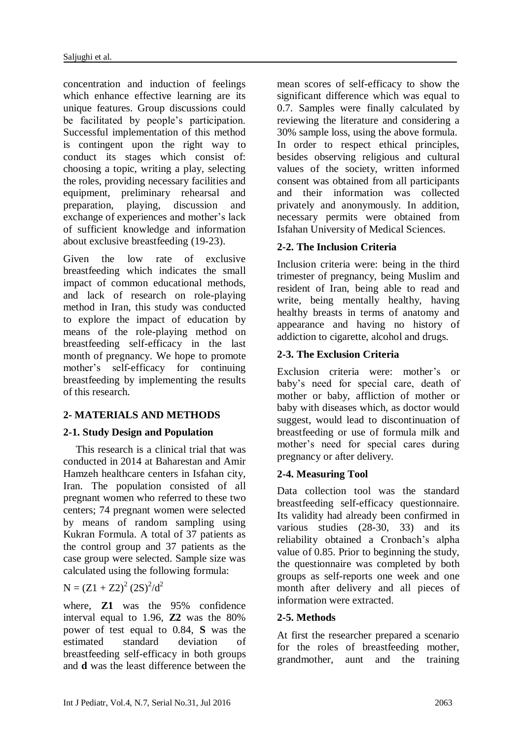concentration and induction of feelings which enhance effective learning are its unique features. Group discussions could be facilitated by people's participation. Successful implementation of this method is contingent upon the right way to conduct its stages which consist of: choosing a topic, writing a play, selecting the roles, providing necessary facilities and equipment, preliminary rehearsal and preparation, playing, discussion and exchange of experiences and mother's lack of sufficient knowledge and information about exclusive breastfeeding (19-23).

Given the low rate of exclusive breastfeeding which indicates the small impact of common educational methods, and lack of research on role-playing method in Iran, this study was conducted to explore the impact of education by means of the role-playing method on breastfeeding self-efficacy in the last month of pregnancy. We hope to promote mother's self-efficacy for continuing breastfeeding by implementing the results of this research.

# **2- MATERIALS AND METHODS**

### **2-1. Study Design and Population**

This research is a clinical trial that was conducted in 2014 at Baharestan and Amir Hamzeh healthcare centers in Isfahan city, Iran. The population consisted of all pregnant women who referred to these two centers; 74 pregnant women were selected by means of random sampling using Kukran Formula. A total of 37 patients as the control group and 37 patients as the case group were selected. Sample size was calculated using the following formula:

$$
N = (Z1 + Z2)^{2} (2S)^{2}/d^{2}
$$

where, **Z1** was the 95% confidence interval equal to 1.96, **Z2** was the 80% power of test equal to 0.84, **S** was the estimated standard deviation of breastfeeding self-efficacy in both groups and **d** was the least difference between the

mean scores of self-efficacy to show the significant difference which was equal to 0.7. Samples were finally calculated by reviewing the literature and considering a 30% sample loss, using the above formula. In order to respect ethical principles, besides observing religious and cultural values of the society, written informed consent was obtained from all participants and their information was collected privately and anonymously. In addition, necessary permits were obtained from Isfahan University of Medical Sciences.

## **2-2. The Inclusion Criteria**

Inclusion criteria were: being in the third trimester of pregnancy, being Muslim and resident of Iran, being able to read and write, being mentally healthy, having healthy breasts in terms of anatomy and appearance and having no history of addiction to cigarette, alcohol and drugs.

## **2-3. The Exclusion Criteria**

Exclusion criteria were: mother's or baby's need for special care, death of mother or baby, affliction of mother or baby with diseases which, as doctor would suggest, would lead to discontinuation of breastfeeding or use of formula milk and mother's need for special cares during pregnancy or after delivery.

### **2-4. Measuring Tool**

Data collection tool was the standard breastfeeding self-efficacy questionnaire. Its validity had already been confirmed in various studies (28-30, 33) and its reliability obtained a Cronbach's alpha value of 0.85. Prior to beginning the study, the questionnaire was completed by both groups as self-reports one week and one month after delivery and all pieces of information were extracted.

### **2-5. Methods**

At first the researcher prepared a scenario for the roles of breastfeeding mother, grandmother, aunt and the training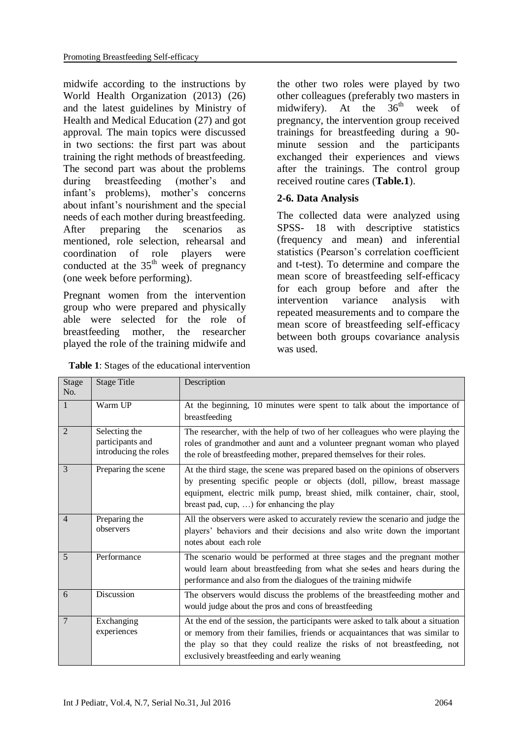midwife according to the instructions by World Health Organization (2013) (26) and the latest guidelines by Ministry of Health and Medical Education (27) and got approval. The main topics were discussed in two sections: the first part was about training the right methods of breastfeeding. The second part was about the problems during breastfeeding (mother's and infant's problems), mother's concerns about infant's nourishment and the special needs of each mother during breastfeeding. After preparing the scenarios as mentioned, role selection, rehearsal and coordination of role players were conducted at the  $35<sup>th</sup>$  week of pregnancy (one week before performing).

Pregnant women from the intervention group who were prepared and physically able were selected for the role of breastfeeding mother, the researcher played the role of the training midwife and

the other two roles were played by two other colleagues (preferably two masters in midwifery). At the  $36<sup>th</sup>$  week of pregnancy, the intervention group received trainings for breastfeeding during a 90 minute session and the participants exchanged their experiences and views after the trainings. The control group received routine cares (**Table.1**).

### **2-6. Data Analysis**

The collected data were analyzed using SPSS- 18 with descriptive statistics (frequency and mean) and inferential statistics (Pearson's correlation coefficient and t-test). To determine and compare the mean score of breastfeeding self-efficacy for each group before and after the intervention variance analysis with repeated measurements and to compare the mean score of breastfeeding self-efficacy between both groups covariance analysis was used.

| Stage<br>No.   | <b>Stage Title</b>                                         | Description                                                                                                                                                                                                                                                                               |  |  |  |
|----------------|------------------------------------------------------------|-------------------------------------------------------------------------------------------------------------------------------------------------------------------------------------------------------------------------------------------------------------------------------------------|--|--|--|
| $\mathbf{1}$   | Warm UP                                                    | At the beginning, 10 minutes were spent to talk about the importance of<br>breastfeeding                                                                                                                                                                                                  |  |  |  |
| $\overline{2}$ | Selecting the<br>participants and<br>introducing the roles | The researcher, with the help of two of her colleagues who were playing the<br>roles of grandmother and aunt and a volunteer pregnant woman who played<br>the role of breastfeeding mother, prepared themselves for their roles.                                                          |  |  |  |
| 3              | Preparing the scene                                        | At the third stage, the scene was prepared based on the opinions of observers<br>by presenting specific people or objects (doll, pillow, breast massage<br>equipment, electric milk pump, breast shied, milk container, chair, stool,<br>breast pad, cup, ) for enhancing the play        |  |  |  |
| $\overline{4}$ | Preparing the<br>observers                                 | All the observers were asked to accurately review the scenario and judge the<br>players' behaviors and their decisions and also write down the important<br>notes about each role                                                                                                         |  |  |  |
| 5              | Performance                                                | The scenario would be performed at three stages and the pregnant mother<br>would learn about breastfeeding from what she se4es and hears during the<br>performance and also from the dialogues of the training midwife                                                                    |  |  |  |
| 6              | Discussion                                                 | The observers would discuss the problems of the breastfeeding mother and<br>would judge about the pros and cons of breastfeeding                                                                                                                                                          |  |  |  |
| $\overline{7}$ | Exchanging<br>experiences                                  | At the end of the session, the participants were asked to talk about a situation<br>or memory from their families, friends or acquaintances that was similar to<br>the play so that they could realize the risks of not breastfeeding, not<br>exclusively breastfeeding and early weaning |  |  |  |

**Table 1:** Stages of the educational intervention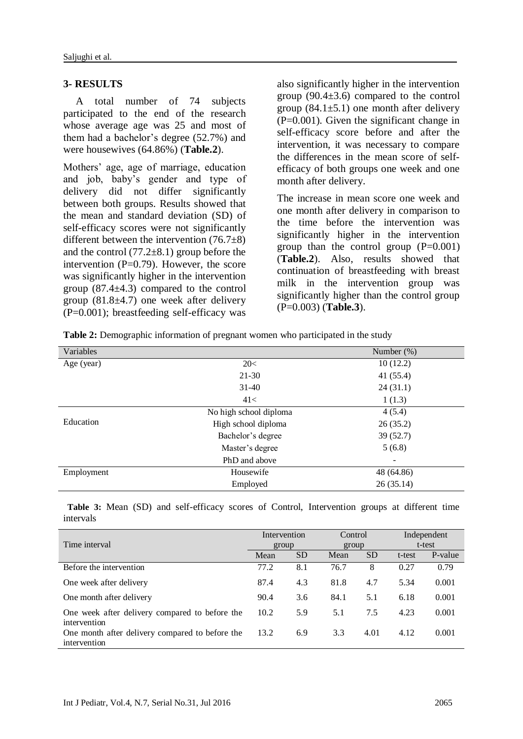#### **3- RESULTS**

A total number of 74 subjects participated to the end of the research whose average age was 25 and most of them had a bachelor's degree (52.7%) and were housewives (64.86%) (**Table.2**).

Mothers' age, age of marriage, education and job, baby's gender and type of delivery did not differ significantly between both groups. Results showed that the mean and standard deviation (SD) of self-efficacy scores were not significantly different between the intervention  $(76.7±8)$ and the control  $(77.2\pm8.1)$  group before the intervention  $(P=0.79)$ . However, the score was significantly higher in the intervention group  $(87.4\pm4.3)$  compared to the control group  $(81.8\pm4.7)$  one week after delivery  $(P=0.001)$ ; breastfeeding self-efficacy was also significantly higher in the intervention group  $(90.4\pm3.6)$  compared to the control group  $(84.1 \pm 5.1)$  one month after delivery (P=0.001). Given the significant change in self-efficacy score before and after the intervention, it was necessary to compare the differences in the mean score of selfefficacy of both groups one week and one month after delivery.

The increase in mean score one week and one month after delivery in comparison to the time before the intervention was significantly higher in the intervention group than the control group  $(P=0.001)$ (**Table.2**). Also, results showed that continuation of breastfeeding with breast milk in the intervention group was significantly higher than the control group (P=0.003) (**Table.3**).

| Variables  |                        | Number $(\%)$ |
|------------|------------------------|---------------|
| Age (year) | 20<                    | 10(12.2)      |
|            | $21 - 30$              | 41(55.4)      |
|            | $31 - 40$              | 24(31.1)      |
|            | 41<                    | 1(1.3)        |
|            | No high school diploma | 4(5.4)        |
| Education  | High school diploma    | 26(35.2)      |
|            | Bachelor's degree      | 39(52.7)      |
|            | Master's degree        | 5(6.8)        |
|            | PhD and above          |               |
| Employment | Housewife              | 48 (64.86)    |
|            | Employed               | 26(35.14)     |

**Table 2:** Demographic information of pregnant women who participated in the study

 **Table 3:** Mean (SD) and self-efficacy scores of Control, Intervention groups at different time intervals

|                                                                 | Intervention |           | Control |           | Independent |         |
|-----------------------------------------------------------------|--------------|-----------|---------|-----------|-------------|---------|
| Time interval                                                   | group        |           | group   |           | t-test      |         |
|                                                                 | Mean         | <b>SD</b> | Mean    | <b>SD</b> | t-test      | P-value |
| Before the intervention                                         | 77.2         | 8.1       | 76.7    | 8         | 0.27        | 0.79    |
| One week after delivery                                         | 87.4         | 4.3       | 81.8    | 4.7       | 5.34        | 0.001   |
| One month after delivery                                        | 90.4         | 3.6       | 84.1    | 5.1       | 6.18        | 0.001   |
| One week after delivery compared to before the<br>intervention  | 10.2         | 5.9       | 5.1     | 7.5       | 4.23        | 0.001   |
| One month after delivery compared to before the<br>intervention | 13.2         | 6.9       | 3.3     | 4.01      | 4.12        | 0.001   |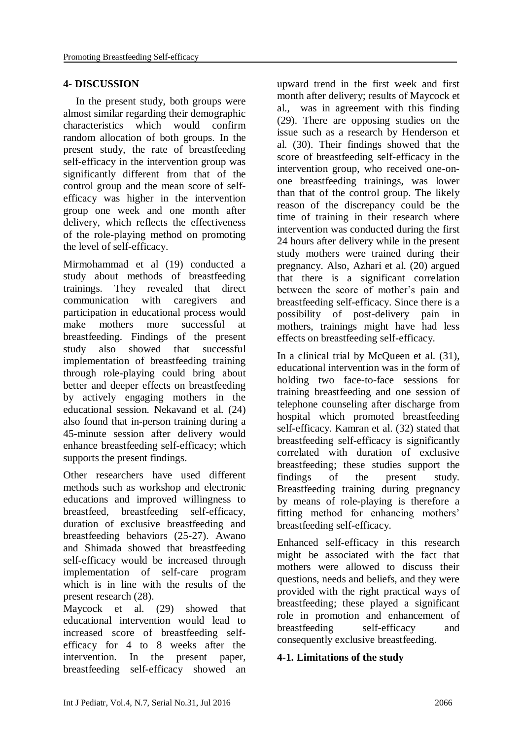### **4- DISCUSSION**

In the present study, both groups were almost similar regarding their demographic characteristics which would confirm random allocation of both groups. In the present study, the rate of breastfeeding self-efficacy in the intervention group was significantly different from that of the control group and the mean score of selfefficacy was higher in the intervention group one week and one month after delivery, which reflects the effectiveness of the role-playing method on promoting the level of self-efficacy.

Mirmohammad et al (19) conducted a study about methods of breastfeeding trainings. They revealed that direct communication with caregivers and participation in educational process would make mothers more successful at breastfeeding. Findings of the present study also showed that successful implementation of breastfeeding training through role-playing could bring about better and deeper effects on breastfeeding by actively engaging mothers in the educational session. Nekavand et al. (24) also found that in-person training during a 45-minute session after delivery would enhance breastfeeding self-efficacy; which supports the present findings.

Other researchers have used different methods such as workshop and electronic educations and improved willingness to breastfeed, breastfeeding self-efficacy, duration of exclusive breastfeeding and breastfeeding behaviors (25-27). Awano and Shimada showed that breastfeeding self-efficacy would be increased through implementation of self-care program which is in line with the results of the present research (28).

Maycock et al. (29) showed that educational intervention would lead to increased score of breastfeeding selfefficacy for 4 to 8 weeks after the intervention. In the present paper, breastfeeding self-efficacy showed an

upward trend in the first week and first month after delivery; results of Maycock et al., was in agreement with this finding (29). There are opposing studies on the issue such as a research by Henderson et al. (30). Their findings showed that the score of breastfeeding self-efficacy in the intervention group, who received one-onone breastfeeding trainings, was lower than that of the control group. The likely reason of the discrepancy could be the time of training in their research where intervention was conducted during the first 24 hours after delivery while in the present study mothers were trained during their pregnancy. Also, Azhari et al. (20) argued that there is a significant correlation between the score of mother's pain and breastfeeding self-efficacy. Since there is a possibility of post-delivery pain in mothers, trainings might have had less effects on breastfeeding self-efficacy.

In a clinical trial by McQueen et al. (31), educational intervention was in the form of holding two face-to-face sessions for training breastfeeding and one session of telephone counseling after discharge from hospital which promoted breastfeeding self-efficacy. Kamran et al. (32) stated that breastfeeding self-efficacy is significantly correlated with duration of exclusive breastfeeding; these studies support the findings of the present study. Breastfeeding training during pregnancy by means of role-playing is therefore a fitting method for enhancing mothers' breastfeeding self-efficacy.

Enhanced self-efficacy in this research might be associated with the fact that mothers were allowed to discuss their questions, needs and beliefs, and they were provided with the right practical ways of breastfeeding; these played a significant role in promotion and enhancement of breastfeeding self-efficacy and consequently exclusive breastfeeding.

### **4-1. Limitations of the study**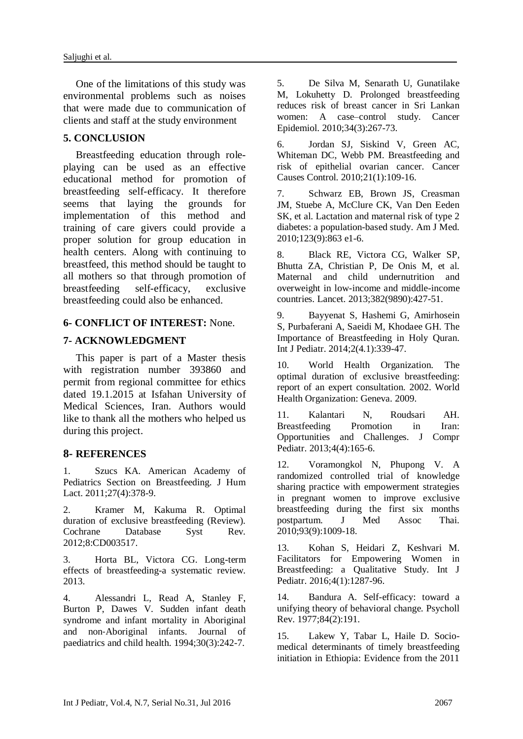One of the limitations of this study was environmental problems such as noises that were made due to communication of clients and staff at the study environment

### **5. CONCLUSION**

Breastfeeding education through roleplaying can be used as an effective educational method for promotion of breastfeeding self-efficacy. It therefore seems that laying the grounds for implementation of this method and training of care givers could provide a proper solution for group education in health centers. Along with continuing to breastfeed, this method should be taught to all mothers so that through promotion of breastfeeding self-efficacy, exclusive breastfeeding could also be enhanced.

#### **6- CONFLICT OF INTEREST:** None.

#### **7- ACKNOWLEDGMENT**

This paper is part of a Master thesis with registration number 393860 and permit from regional committee for ethics dated 19.1.2015 at Isfahan University of Medical Sciences, Iran. Authors would like to thank all the mothers who helped us during this project.

### **8- REFERENCES**

1. Szucs KA. American Academy of Pediatrics Section on Breastfeeding. J Hum Lact. 2011;27(4):378-9.

2. Kramer M, Kakuma R. Optimal duration of exclusive breastfeeding (Review). Cochrane Database Syst Rev. 2012;8:CD003517.

3. Horta BL, Victora CG. Long-term effects of breastfeeding-a systematic review. 2013.

4. Alessandri L, Read A, Stanley F, Burton P, Dawes V. Sudden infant death syndrome and infant mortality in Aboriginal and non‐Aboriginal infants. Journal of paediatrics and child health. 1994;30(3):242-7.

5. De Silva M, Senarath U, Gunatilake M, Lokuhetty D. Prolonged breastfeeding reduces risk of breast cancer in Sri Lankan women: A case–control study. Cancer Epidemiol. 2010;34(3):267-73.

6. Jordan SJ, Siskind V, Green AC, Whiteman DC, Webb PM. Breastfeeding and risk of epithelial ovarian cancer. Cancer Causes Control. 2010;21(1):109-16.

7. Schwarz EB, Brown JS, Creasman JM, Stuebe A, McClure CK, Van Den Eeden SK, et al. Lactation and maternal risk of type 2 diabetes: a population-based study. Am J Med. 2010;123(9):863 e1-6.

8. Black RE, Victora CG, Walker SP, Bhutta ZA, Christian P, De Onis M, et al. Maternal and child undernutrition and overweight in low-income and middle-income countries. Lancet. 2013;382(9890):427-51.

9. Bayyenat S, Hashemi G, Amirhosein S, Purbaferani A, Saeidi M, Khodaee GH. The Importance of Breastfeeding in Holy Quran. Int J Pediatr. 2014;2(4.1):339-47.

10. World Health Organization. The optimal duration of exclusive breastfeeding: report of an expert consultation. 2002. World Health Organization: Geneva. 2009.

11. Kalantari N, Roudsari AH. Breastfeeding Promotion in Iran: Opportunities and Challenges. J Compr Pediatr. 2013;4(4):165-6.

12. Voramongkol N, Phupong V. A randomized controlled trial of knowledge sharing practice with empowerment strategies in pregnant women to improve exclusive breastfeeding during the first six months postpartum. J Med Assoc Thai. 2010;93(9):1009-18.

13. Kohan S, Heidari Z, Keshvari M. Facilitators for Empowering Women in Breastfeeding: a Qualitative Study. Int J Pediatr. 2016;4(1):1287-96.

14. Bandura A. Self-efficacy: toward a unifying theory of behavioral change. Psycholl Rev. 1977;84(2):191.

15. Lakew Y, Tabar L, Haile D. Sociomedical determinants of timely breastfeeding initiation in Ethiopia: Evidence from the 2011